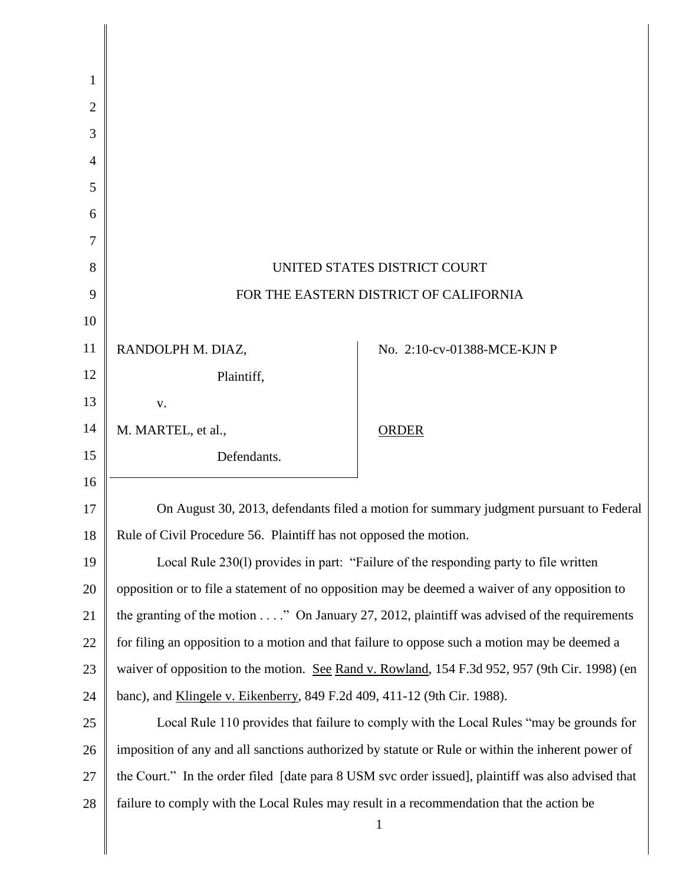| 1              |                                                                                                      |                             |  |
|----------------|------------------------------------------------------------------------------------------------------|-----------------------------|--|
| $\overline{2}$ |                                                                                                      |                             |  |
| 3              |                                                                                                      |                             |  |
| 4              |                                                                                                      |                             |  |
| 5              |                                                                                                      |                             |  |
| 6              |                                                                                                      |                             |  |
| 7              |                                                                                                      |                             |  |
| 8              | UNITED STATES DISTRICT COURT                                                                         |                             |  |
| 9              | FOR THE EASTERN DISTRICT OF CALIFORNIA                                                               |                             |  |
| 10             |                                                                                                      |                             |  |
| 11             | RANDOLPH M. DIAZ,                                                                                    | No. 2:10-cv-01388-MCE-KJN P |  |
| 12             | Plaintiff,                                                                                           |                             |  |
| 13             | V.                                                                                                   |                             |  |
| 14             | M. MARTEL, et al.,                                                                                   | <b>ORDER</b>                |  |
| 15             | Defendants.                                                                                          |                             |  |
| 16             |                                                                                                      |                             |  |
| 17             | On August 30, 2013, defendants filed a motion for summary judgment pursuant to Federal               |                             |  |
| 18             | Rule of Civil Procedure 56. Plaintiff has not opposed the motion.                                    |                             |  |
| 19             | Local Rule 230(1) provides in part: "Failure of the responding party to file written                 |                             |  |
| 20             | opposition or to file a statement of no opposition may be deemed a waiver of any opposition to       |                             |  |
| 21             | the granting of the motion $\dots$ ." On January 27, 2012, plaintiff was advised of the requirements |                             |  |
| 22             | for filing an opposition to a motion and that failure to oppose such a motion may be deemed a        |                             |  |
| 23             | waiver of opposition to the motion. See Rand v. Rowland, 154 F.3d 952, 957 (9th Cir. 1998) (en       |                             |  |
| 24             | banc), and Klingele v. Eikenberry, 849 F.2d 409, 411-12 (9th Cir. 1988).                             |                             |  |
| 25             | Local Rule 110 provides that failure to comply with the Local Rules "may be grounds for              |                             |  |
| 26             | imposition of any and all sanctions authorized by statute or Rule or within the inherent power of    |                             |  |
| 27             | the Court." In the order filed [date para 8 USM svc order issued], plaintiff was also advised that   |                             |  |
| 28             | failure to comply with the Local Rules may result in a recommendation that the action be             |                             |  |
|                |                                                                                                      | 1                           |  |